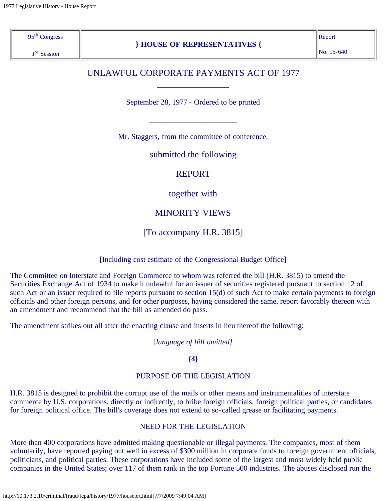95th Congress

*1*st Session

No. 95-640

# UNLAWFUL CORPORATE PAYMENTS ACT OF 1977 \_\_\_\_\_\_\_\_\_\_\_\_\_\_\_\_

September 28, 1977 - Ordered to be printed

Mr. Staggers, from the committee of conference,

\_\_\_\_\_\_\_\_\_\_\_\_\_\_\_\_\_\_\_\_\_\_\_

submitted the following

REPORT

together with

## MINORITY VIEWS

[To accompany H.R. 3815]

[Including cost estimate of the Congressional Budget Office]

The Committee on Interstate and Foreign Commerce to whom was referred the bill (H.R. 3815) to amend the Securities Exchange Act of 1934 to make it unlawful for an issuer of securities registered pursuant to section 12 of such Act or an issuer required to file reports pursuant to section 15(d) of such Act to make certain payments to foreign officials and other foreign persons, and for other purposes, having considered the same, report favorably thereon with an amendment and recommend that the bill as amended do pass.

The amendment strikes out all after the enacting clause and inserts in lieu thereof the following:

[*language of bill omitted]*

**{4}**

## PURPOSE OF THE LEGISLATION

H.R. 3815 is designed to prohibit the corrupt use of the mails or other means and instrumentalities of interstate commerce by U.S. corporations, directly or indirectly, to bribe foreign officials, foreign political parties, or candidates for foreign political office. The bill's coverage does not extend to so-called grease or facilitating payments.

## NEED FOR THE LEGISLATION

More than 400 corporations have admitted making questionable or illegal payments. The companies, most of them voluntarily, have reported paying out well in excess of \$300 million in corporate funds to foreign government officials, politicians, and political parties. These corporations have included some of the largest and most widely held public companies in the United States; over 117 of them rank in the top Fortune 500 industries. The abuses disclosed run the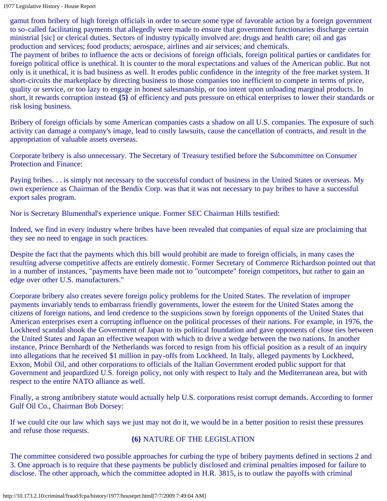gamut from bribery of high foreign officials in order to secure some type of favorable action by a foreign government to so-called facilitating payments that allegedly were made to ensure that government functionaries discharge certain ministrial [sic] or clerical duties. Sectors of industry typically involved are: drugs and health care; oil and gas production and services; food products; aerospace, airlines and air services; and chemicals.

The payment of bribes to influence the acts or decisions of foreign officials, foreign political parties or candidates for foreign political office is unethical. It is counter to the moral expectations and values of the American public. But not only is it unethical, it is bad business as well. It erodes public confidence in the integrity of the free market system. It short-circuits the marketplace by directing business to those companies too inefficient to compete in terms of price, quality or service, or too lazy to engage in honest salesmanship, or too intent upon unloading marginal products. In short, it rewards corruption instead **{5}** of efficiency and puts pressure on ethical enterprises to lower their standards or risk losing business.

Bribery of foreign officials by some American companies casts a shadow on all U.S. companies. The exposure of such activity can damage a company's image, lead to costly lawsuits, cause the cancellation of contracts, and result in the appropriation of valuable assets overseas.

Corporate bribery is also unnecessary. The Secretary of Treasury testified before the Subcommittee on Consumer Protection and Finance:

Paying bribes. . . is simply not necessary to the successful conduct of business in the United States or overseas. My own experience as Chairman of the Bendix Corp. was that it was not necessary to pay bribes to have a successful export sales program.

Nor is Secretary Blumenthal's experience unique. Former SEC Chairman Hills testified:

Indeed, we find in every industry where bribes have been revealed that companies of equal size are proclaiming that they see no need to engage in such practices.

Despite the fact that the payments which this bill would prohibit are made to foreign officials, in many cases the resulting adverse competitive affects are entirely domestic. Former Secretary of Commerce Richardson pointed out that in a number of instances, "payments have been made not to "outcompete" foreign competitors, but rather to gain an edge over other U.S. manufacturers."

Corporate bribery also creates severe foreign policy problems for the United States. The revelation of improper payments invariably tends to embarrass friendly governments, lower the esteem for the United States among the citizens of foreign nations, and lend credence to the suspicions sown by foreign opponents of the United States that American enterprises exert a corrupting influence on the political processes of their nations. For example, in 1976, the Lockheed scandal shook the Government of Japan to its political foundation and gave opponents of close ties between the United States and Japan an effective weapon with which to drive a wedge between the two nations. In another instance, Prince Bernhardt of the Netherlands was forced to resign from his official position as a result of an inquiry into allegations that he received \$1 million in pay-offs from Lockheed. In Italy, alleged payments by Lockheed, Exxon, Mobil Oil, and other corporations to officials of the Italian Government eroded public support for that Government and jeopardized U.S. foreign policy, not only with respect to Italy and the Mediterranean area, but with respect to the entire NATO alliance as well.

Finally, a strong antibribery statute would actually help U.S. corporations resist corrupt demands. According to former Gulf Oil Co., Chairman Bob Dorsey:

If we could cite our law which says we just may not do it, we would be in a better position to resist these pressures and refuse those requests.

#### **{6}** NATURE OF THE LEGISLATION

The committee considered two possible approaches for curbing the type of bribery payments defined in sections 2 and 3. One approach is to require that these payments be publicly disclosed and criminal penalties imposed for failure to disclose. The other approach, which the committee adopted in H.R. 3815, is to outlaw the payoffs with criminal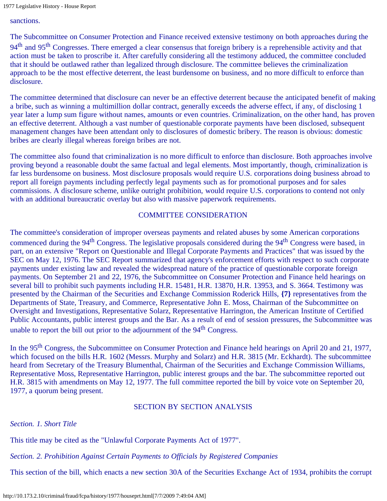1977 Legislative History - House Report

#### sanctions.

The Subcommittee on Consumer Protection and Finance received extensive testimony on both approaches during the 94<sup>th</sup> and 95<sup>th</sup> Congresses. There emerged a clear consensus that foreign bribery is a reprehensible activity and that action must be taken to proscribe it. After carefully considering all the testimony adduced, the committee concluded that it should be outlawed rather than legalized through disclosure. The committee believes the criminalization approach to be the most effective deterrent, the least burdensome on business, and no more difficult to enforce than disclosure.

The committee determined that disclosure can never be an effective deterrent because the anticipated benefit of making a bribe, such as winning a multimillion dollar contract, generally exceeds the adverse effect, if any, of disclosing 1 year later a lump sum figure without names, amounts or even countries. Criminalization, on the other hand, has proven an effective deterrent. Although a vast number of questionable corporate payments have been disclosed, subsequent management changes have been attendant only to disclosures of domestic bribery. The reason is obvious: domestic bribes are clearly illegal whereas foreign bribes are not.

The committee also found that criminalization is no more difficult to enforce than disclosure. Both approaches involve proving beyond a reasonable doubt the same factual and legal elements. Most importantly, though, criminalization is far less burdensome on business. Most disclosure proposals would require U.S. corporations doing business abroad to report all foreign payments including perfectly legal payments such as for promotional purposes and for sales commissions. A disclosure scheme, unlike outright prohibition, would require U.S. corporations to contend not only with an additional bureaucratic overlay but also with massive paperwork requirements.

## COMMITTEE CONSIDERATION

The committee's consideration of improper overseas payments and related abuses by some American corporations commenced during the 94<sup>th</sup> Congress. The legislative proposals considered during the 94<sup>th</sup> Congress were based, in part, on an extensive "Report on Questionable and Illegal Corporate Payments and Practices" that was issued by the SEC on May 12, 1976. The SEC Report summarized that agency's enforcement efforts with respect to such corporate payments under existing law and revealed the widespread nature of the practice of questionable corporate foreign payments. On September 21 and 22, 1976, the Subcommittee on Consumer Protection and Finance held hearings on several bill to prohibit such payments including H.R. 15481, H.R. 13870, H.R. 13953, and S. 3664. Testimony was presented by the Chairman of the Securities and Exchange Commission Roderick Hills, **{7}** representatives from the Departments of State, Treasury, and Commerce, Representative John E. Moss, Chairman of the Subcommittee on Oversight and Investigations, Representative Solarz, Representative Harrington, the American Institute of Certified Public Accountants, public interest groups and the Bar. As a result of end of session pressures, the Subcommittee was unable to report the bill out prior to the adjournment of the  $94<sup>th</sup>$  Congress.

In the 95<sup>th</sup> Congress, the Subcommittee on Consumer Protection and Finance held hearings on April 20 and 21, 1977, which focused on the bills H.R. 1602 (Messrs. Murphy and Solarz) and H.R. 3815 (Mr. Eckhardt). The subcommittee heard from Secretary of the Treasury Blumenthal, Chairman of the Securities and Exchange Commission Williams, Representative Moss, Representative Harrington, public interest groups and the bar. The subcommittee reported out H.R. 3815 with amendments on May 12, 1977. The full committee reported the bill by voice vote on September 20, 1977, a quorum being present.

#### SECTION BY SECTION ANALYSIS

*Section. 1. Short Title*

This title may be cited as the "Unlawful Corporate Payments Act of 1977".

*Section. 2. Prohibition Against Certain Payments to Officials by Registered Companies*

This section of the bill, which enacts a new section 30A of the Securities Exchange Act of 1934, prohibits the corrupt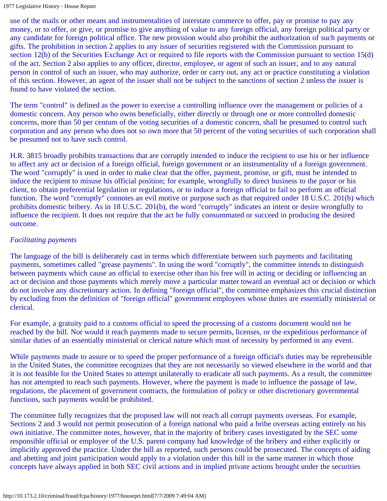use of the mails or other means and instrumentalities of interstate commerce to offer, pay or promise to pay any money, or to offer, or give, or promise to give anything of value to any foreign official, any foreign political party or any candidate for foreign political office. The new provision would also prohibit the authorization of such payments or gifts. The prohibition in section 2 applies to any issuer of securities registered with the Commission pursuant to section 12(b) of the Securities Exchange Act or required to file reports with the Commission pursuant to section 15(d) of the act. Section 2 also applies to any officer, director, employee, or agent of such an issuer, and to any natural person in control of such an issuer, who may authorize, order or carry out, any act or practice constituting a violation of this section. However, an agent of the issuer shall not be subject to the sanctions of section 2 unless the issuer is found to have violated the section.

The term "control" is defined as the power to exercise a controlling influence over the management or policies of a domestic concern. Any person who owns beneficially, either directly or through one or more controlled domestic concerns, more than 50 per centum of the voting securities of a domestic concern, shall be presumed to control such corporation and any person who does not so own more that 50 percent of the voting securities of such corporation shall be presumed not to have such control.

H.R. 3815 broadly prohibits transactions that are corruptly intended to induce the recipient to use his or her influence to affect any act or decision of a foreign official, foreign government or an instrumentality of a foreign government. The word "corruptly" is used in order to make clear that the offer, payment, promise, or gift, must be intended to induce the recipient to misuse his official position; for example, wrongfully to direct business to the payor or his client, to obtain preferential legislation or regulations, or to induce a foreign official to fail to perform an official function. The word "corruptly" connotes an evil motive or purpose such as that required under 18 U.S.C. 201(b) which prohibits domestic bribery. As in 18 U.S.C. 201(b), the word "corruptly" indicates an intent or desire wrongfully to influence the recipient. It does not require that the act he fully consummated or succeed in producing the desired outcome.

## *Facilitating payments*

The language of the bill is deliberately cast in terms which differentiate between such payments and facilitating payments, sometimes called "grease payments". In using the word "corruptly", the committee intends to distinguish between payments which cause an official to exercise other than his free will in acting or deciding or influencing an act or decision and those payments which merely move a particular matter toward an eventual act or decision or which do not involve any discretionary action. In defining "foreign official", the committee emphasizes this crucial distinction by excluding from the definition of "foreign official" government employees whose duties are essentially ministerial or clerical.

For example, a gratuity paid to a customs official to speed the processing of a customs document would not be reached by the bill. Nor would it reach payments made to secure permits, licenses, or the expeditious performance of similar duties of an essentially ministerial or clerical nature which must of necessity by performed in any event.

While payments made to assure or to speed the proper performance of a foreign official's duties may be reprehensible in the United States, the committee recognizes that they are not necessarily so viewed elsewhere in the world and that it is not feasible for the United States to attempt unilaterally to eradicate all such payments. As a result, the committee has not attempted to reach such payments. However, where the payment is made to influence the passage of law, regulations, the placement of government contracts, the formulation of policy or other discretionary governmental functions, such payments would be prohibited.

The committee fully recognizes that the proposed law will not reach all corrupt payments overseas. For example, Sections 2 and 3 would not permit prosecution of a foreign national who paid a bribe overseas acting entirely on his own initiative. The committee notes, however, that in the majority of bribery cases investigated by the SEC some responsible official or employee of the U.S. parent company had knowledge of the bribery and either explicitly or implicitly approved the practice. Under the bill as reported, such persons could be prosecuted. The concepts of aiding and abetting and joint participation would apply to a violation under this bill in the same manner in which those concepts have always applied in both SEC civil actions and in implied private actions brought under the securities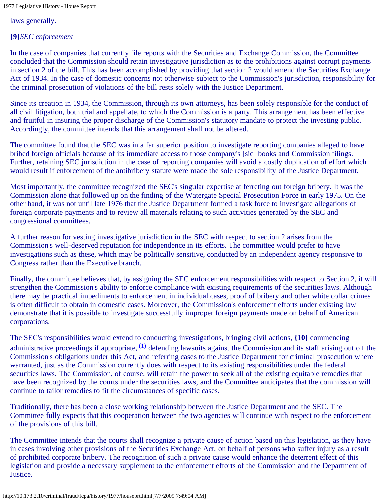1977 Legislative History - House Report

laws generally.

#### **{9}***SEC enforcement*

In the case of companies that currently file reports with the Securities and Exchange Commission, the Committee concluded that the Commission should retain investigative jurisdiction as to the prohibitions against corrupt payments in section 2 of the bill. This has been accomplished by providing that section 2 would amend the Securities Exchange Act of 1934. In the case of domestic concerns not otherwise subject to the Commission's jurisdiction, responsibility for the criminal prosecution of violations of the bill rests solely with the Justice Department.

Since its creation in 1934, the Commission, through its own attorneys, has been solely responsible for the conduct of all civil litigation, both trial and appellate, to which the Commission is a party. This arrangement has been effective and fruitful in insuring the proper discharge of the Commission's statutory mandate to protect the investing public. Accordingly, the committee intends that this arrangement shall not be altered.

The committee found that the SEC was in a far superior position to investigate reporting companies alleged to have bribed foreign officials because of its immediate access to those company's [sic] books and Commission filings. Further, retaining SEC jurisdiction in the case of reporting companies will avoid a costly duplication of effort which would result if enforcement of the antibribery statute were made the sole responsibility of the Justice Department.

Most importantly, the committee recognized the SEC's singular expertise at ferreting out foreign bribery. It was the Commission alone that followed up on the finding of the Watergate Special Prosecution Force in early 1975. On the other hand, it was not until late 1976 that the Justice Department formed a task force to investigate allegations of foreign corporate payments and to review all materials relating to such activities generated by the SEC and congressional committees.

A further reason for vesting investigative jurisdiction in the SEC with respect to section 2 arises from the Commission's well-deserved reputation for independence in its efforts. The committee would prefer to have investigations such as these, which may be politically sensitive, conducted by an independent agency responsive to Congress rather than the Executive branch.

Finally, the committee believes that, by assigning the SEC enforcement responsibilities with respect to Section 2, it will strengthen the Commission's ability to enforce compliance with existing requirements of the securities laws. Although there may be practical impediments to enforcement in individual cases, proof of bribery and other white collar crimes is often difficult to obtain in domestic cases. Moreover, the Commission's enforcement efforts under existing law demonstrate that it is possible to investigate successfully improper foreign payments made on behalf of American corporations.

The SEC's responsibilities would extend to conducting investigations, bringing civil actions, **{10}** commencing administrative proceedings if appropriate,  $(1)$  defending lawsuits against the Commission and its staff arising out of the Commission's obligations under this Act, and referring cases to the Justice Department for criminal prosecution where warranted, just as the Commission currently does with respect to its existing responsibilities under the federal securities laws. The Commission, of course, will retain the power to seek all of the existing equitable remedies that have been recognized by the courts under the securities laws, and the Committee anticipates that the commission will continue to tailor remedies to fit the circumstances of specific cases.

Traditionally, there has been a close working relationship between the Justice Department and the SEC. The Committee fully expects that this cooperation between the two agencies will continue with respect to the enforcement of the provisions of this bill.

The Committee intends that the courts shall recognize a private cause of action based on this legislation, as they have in cases involving other provisions of the Securities Exchange Act, on behalf of persons who suffer injury as a result of prohibited corporate bribery. The recognition of such a private cause would enhance the deterrent effect of this legislation and provide a necessary supplement to the enforcement efforts of the Commission and the Department of Justice.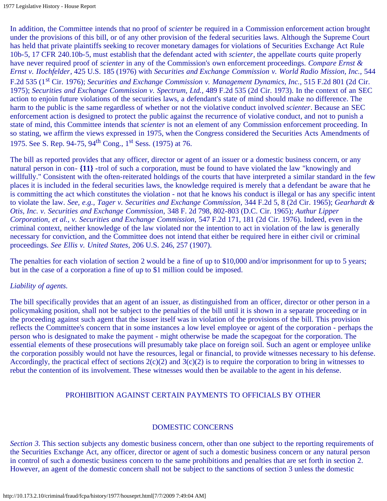In addition, the Committee intends that no proof of *scienter* be required in a Commission enforcement action brought under the provisions of this bill, or of any other provision of the federal securities laws. Although the Supreme Court has held that private plaintiffs seeking to recover monetary damages for violations of Securities Exchange Act Rule 10b-5, 17 CFR 240.10b-5, must establish that the defendant acted with *scienter*, the appellate courts quite properly have never required proof of *scienter* in any of the Commission's own enforcement proceedings. *Compare Ernst & Ernst v. IIochfelder*, 425 U.S. 185 (1976) with *Securities and Exchange Commission v. World Radio Mission, Inc.,* 544 F.2d 535 (1st Cir. 1976); *Securities and Exchange Commission v. Management Dynamics, Inc.,* 515 F.2d 801 (2d Cir. 1975); *Securities and Exchange Commission v. Spectrum, Ltd.,* 489 F.2d 535 (2d Cir. 1973). In the context of an SEC action to enjoin future violations of the securities laws, a defendant's state of mind should make no difference. The harm to the public is the same regardless of whether or not the violative conduct involved *scienter*. Because an SEC enforcement action is designed to protect the public against the recurrence of violative conduct, and not to punish a state of mind, this Committee intends that *scienter* is not an element of any Commission enforcement proceeding. In so stating, we affirm the views expressed in 1975, when the Congress considered the Securities Acts Amendments of 1975. See S. Rep. 94-75, 94<sup>th</sup> Cong., 1<sup>st</sup> Sess. (1975) at 76.

The bill as reported provides that any officer, director or agent of an issuer or a domestic business concern, or any natural person in con- **{11} -**trol of such a corporation, must be found to have violated the law "knowingly and willfully." Consistent with the often-reiterated holdings of the courts that have interpreted a similar standard in the few places it is included in the federal securities laws, the knowledge required is merely that a defendant be aware that he is committing the act which constitutes the violation - not that he knows his conduct is illegal or has any specific intent to violate the law. *See, e.g., Tager v. Securities and Exchange Commission,* 344 F.2d 5, 8 (2d Cir. 1965); *Gearhardt & Otis, Inc. v. Securities and Exchange Commission,* 348 F. 2d 798, 802-803 (D.C. Cir. 1965); *Authur Lipper Corporation, et al., v. Securities and Exchange Commission,* 547 F.2d 171, 181 (2d Cir. 1976). Indeed, even in the criminal context, neither knowledge of the law violated nor the intention to act in violation of the law is generally necessary for conviction, and the Committee does not intend that either be required here in either civil or criminal proceedings. *See Ellis v. United States,* 206 U.S. 246, 257 (1907).

The penalties for each violation of section 2 would be a fine of up to \$10,000 and/or imprisonment for up to 5 years; but in the case of a corporation a fine of up to \$1 million could be imposed.

## *Liability of agents.*

The bill specifically provides that an agent of an issuer, as distinguished from an officer, director or other person in a policymaking position, shall not be subject to the penalties of the bill until it is shown in a separate proceeding or in the proceeding against such agent that the issuer itself was in violation of the provisions of the bill. This provision reflects the Committee's concern that in some instances a low level employee or agent of the corporation - perhaps the person who is designated to make the payment - might otherwise be made the scapegoat for the corporation. The essential elements of these prosecutions will presumably take place on foreign soil. Such an agent or employee unlike the corporation possibly would not have the resources, legal or financial, to provide witnesses necessary to his defense. Accordingly, the practical effect of sections  $2(c)(2)$  and  $3(c)(2)$  is to require the corporation to bring in witnesses to rebut the contention of its involvement. These witnesses would then be available to the agent in his defense.

## PROHIBITION AGAINST CERTAIN PAYMENTS TO OFFICIALS BY OTHER

## DOMESTIC CONCERNS

*Section 3*. This section subjects any domestic business concern, other than one subject to the reporting requirements of the Securities Exchange Act, any officer, director or agent of such a domestic business concern or any natural person in control of such a domestic business concern to the same prohibitions and penalties that are set forth in section 2. However, an agent of the domestic concern shall not be subject to the sanctions of section 3 unless the domestic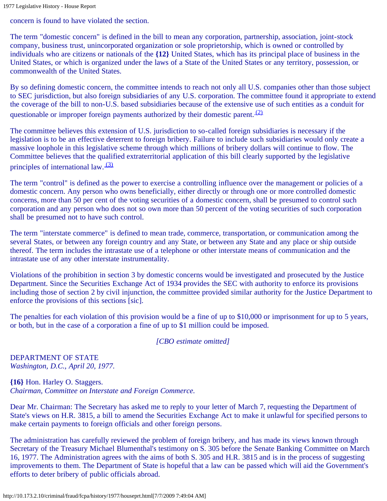concern is found to have violated the section.

The term "domestic concern" is defined in the bill to mean any corporation, partnership, association, joint-stock company, business trust, unincorporated organization or sole proprietorship, which is owned or controlled by individuals who are citizens or nationals of the **{12}** United States, which has its principal place of business in the United States, or which is organized under the laws of a State of the United States or any territory, possession, or commonwealth of the United States.

By so defining domestic concern, the committee intends to reach not only all U.S. companies other than those subject to SEC jurisdiction, but also foreign subsidiaries of any U.S. corporation. The committee found it appropriate to extend the coverage of the bill to non-U.S. based subsidiaries because of the extensive use of such entities as a conduit for questionable or improper foreign payments authorized by their domestic parent.<sup>(2)</sup>

The committee believes this extension of U.S. jurisdiction to so-called foreign subsidiaries is necessary if the legislation is to be an effective deterrent to foreign bribery. Failure to include such subsidiaries would only create a massive loophole in this legislative scheme through which millions of bribery dollars will continue to flow. The Committee believes that the qualified extraterritorial application of this bill clearly supported by the legislative principles of international law.  $(3)$ 

The term "control" is defined as the power to exercise a controlling influence over the management or policies of a domestic concern. Any person who owns beneficially, either directly or through one or more controlled domestic concerns, more than 50 per cent of the voting securities of a domestic concern, shall be presumed to control such corporation and any person who does not so own more than 50 percent of the voting securities of such corporation shall be presumed not to have such control.

The term "interstate commerce" is defined to mean trade, commerce, transportation, or communication among the several States, or between any foreign country and any State, or between any State and any place or ship outside thereof. The term includes the intrastate use of a telephone or other interstate means of communication and the intrastate use of any other interstate instrumentality.

Violations of the prohibition in section 3 by domestic concerns would be investigated and prosecuted by the Justice Department. Since the Securities Exchange Act of 1934 provides the SEC with authority to enforce its provisions including those of section 2 by civil injunction, the committee provided similar authority for the Justice Department to enforce the provisions of this sections [sic].

The penalties for each violation of this provision would be a fine of up to \$10,000 or imprisonment for up to 5 years, or both, but in the case of a corporation a fine of up to \$1 million could be imposed.

*[CBO estimate omitted]*

DEPARTMENT OF STATE *Washington, D.C., April 20, 1977.*

**{16}** Hon. Harley O. Staggers. *Chairman, Committee on Interstate and Foreign Commerce.*

Dear Mr. Chairman: The Secretary has asked me to reply to your letter of March 7, requesting the Department of State's views on H.R. 3815, a bill to amend the Securities Exchange Act to make it unlawful for specified persons to make certain payments to foreign officials and other foreign persons.

The administration has carefully reviewed the problem of foreign bribery, and has made its views known through Secretary of the Treasury Michael Blumenthal's testimony on S. 305 before the Senate Banking Committee on March 16, 1977. The Administration agrees with the aims of both S. 305 and H.R. 3815 and is in the process of suggesting improvements to them. The Department of State is hopeful that a law can be passed which will aid the Government's efforts to deter bribery of public officials abroad.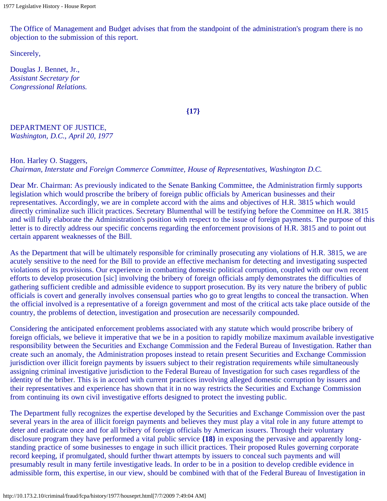The Office of Management and Budget advises that from the standpoint of the administration's program there is no objection to the submission of this report.

Sincerely,

Douglas J. Bennet, Jr., *Assistant Secretary for Congressional Relations.*

**{17}**

#### DEPARTMENT OF JUSTICE, *Washington, D.C., April 20, 1977*

#### Hon. Harley O. Staggers, *Chairman, Interstate and Foreign Commerce Committee, House of Representatives, Washington D.C.*

Dear Mr. Chairman: As previously indicated to the Senate Banking Committee, the Administration firmly supports legislation which would proscribe the bribery of foreign public officials by American businesses and their representatives. Accordingly, we are in complete accord with the aims and objectives of H.R. 3815 which would directly criminalize such illicit practices. Secretary Blumenthal will be testifying before the Committee on H.R. 3815 and will fully elaborate the Administration's position with respect to the issue of foreign payments. The purpose of this letter is to directly address our specific concerns regarding the enforcement provisions of H.R. 3815 and to point out certain apparent weaknesses of the Bill.

As the Department that will be ultimately responsible for criminally prosecuting any violations of H.R. 3815, we are acutely sensitive to the need for the Bill to provide an effective mechanism for detecting and investigating suspected violations of its provisions. Our experience in combatting domestic political corruption, coupled with our own recent efforts to develop prosecution [sic] involving the bribery of foreign officials amply demonstrates the difficulties of gathering sufficient credible and admissible evidence to support prosecution. By its very nature the bribery of public officials is covert and generally involves consensual parties who go to great lengths to conceal the transaction. When the official involved is a representative of a foreign government and most of the critical acts take place outside of the country, the problems of detection, investigation and prosecution are necessarily compounded.

Considering the anticipated enforcement problems associated with any statute which would proscribe bribery of foreign officials, we believe it imperative that we be in a position to rapidly mobilize maximum available investigative responsibility between the Securities and Exchange Commission and the Federal Bureau of Investigation. Rather than create such an anomaly, the Administration proposes instead to retain present Securities and Exchange Commission jurisdiction over illicit foreign payments by issuers subject to their registration requirements while simultaneously assigning criminal investigative jurisdiction to the Federal Bureau of Investigation for such cases regardless of the identity of the briber. This is in accord with current practices involving alleged domestic corruption by issuers and their representatives and experience has shown that it in no way restricts the Securities and Exchange Commission from continuing its own civil investigative efforts designed to protect the investing public.

The Department fully recognizes the expertise developed by the Securities and Exchange Commission over the past several years in the area of illicit foreign payments and believes they must play a vital role in any future attempt to deter and eradicate once and for all bribery of foreign officials by American issuers. Through their voluntary disclosure program they have performed a vital public service **{18}** in exposing the pervasive and apparently longstanding practice of some businesses to engage in such illicit practices. Their proposed Rules governing corporate record keeping, if promulgated, should further thwart attempts by issuers to conceal such payments and will presumably result in many fertile investigative leads. In order to be in a position to develop credible evidence in admissible form, this expertise, in our view, should be combined with that of the Federal Bureau of Investigation in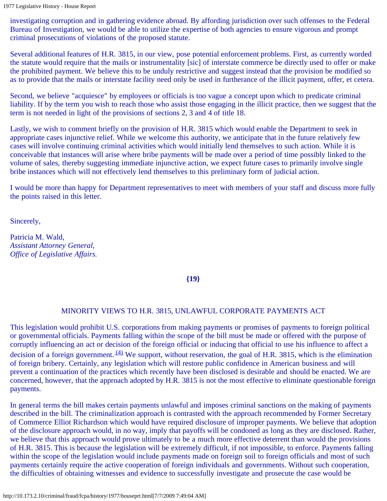investigating corruption and in gathering evidence abroad. By affording jurisdiction over such offenses to the Federal Bureau of Investigation, we would be able to utilize the expertise of both agencies to ensure vigorous and prompt criminal prosecutions of violations of the proposed statute.

Several additional features of H.R. 3815, in our view, pose potential enforcement problems. First, as currently worded the statute would require that the mails or instrumentality [sic] of interstate commerce be directly used to offer or make the prohibited payment. We believe this to be unduly restrictive and suggest instead that the provision be modified so as to provide that the mails or interstate facility need only be used in furtherance of the illicit payment, offer, et cetera.

Second, we believe "acquiesce" by employees or officials is too vague a concept upon which to predicate criminal liability. If by the term you wish to reach those who assist those engaging in the illicit practice, then we suggest that the term is not needed in light of the provisions of sections 2, 3 and 4 of title 18.

Lastly, we wish to comment briefly on the provision of H.R. 3815 which would enable the Department to seek in appropriate cases injunctive relief. While we welcome this authority, we anticipate that in the future relatively few cases will involve continuing criminal activities which would initially lend themselves to such action. While it is conceivable that instances will arise where bribe payments will be made over a period of time possibly linked to the volume of sales, thereby suggesting immediate injunctive action, we expect future cases to primarily involve single bribe instances which will not effectively lend themselves to this preliminary form of judicial action.

I would be more than happy for Department representatives to meet with members of your staff and discuss more fully the points raised in this letter.

Sincerely,

Patricia M. Wald, *Assistant Attorney General, Office of Legislative Affairs.*

**{19}**

#### MINORITY VIEWS TO H.R. 3815, UNLAWFUL CORPORATE PAYMENTS ACT

This legislation would prohibit U.S. corporations from making payments or promises of payments to foreign political or governmental officials. Payments falling within the scope of the bill must be made or offered with the purpose of corruptly influencing an act or decision of the foreign official or inducing that official to use his influence to affect a decision of a foreign government.  $(4)$  We support, without reservation, the goal of H.R. 3815, which is the elimination of foreign bribery. Certainly, any legislation which will restore public confidence in American business and will prevent a continuation of the practices which recently have been disclosed is desirable and should be enacted. We are concerned, however, that the approach adopted by H.R. 3815 is not the most effective to eliminate questionable foreign payments.

In general terms the bill makes certain payments unlawful and imposes criminal sanctions on the making of payments described in the bill. The criminalization approach is contrasted with the approach recommended by Former Secretary of Commerce Elliot Richardson which would have required disclosure of improper payments. We believe that adoption of the disclosure approach would, in no way, imply that payoffs will be condoned as long as they are disclosed. Rather, we believe that this approach would prove ultimately to be a much more effective deterrent than would the provisions of H.R. 3815. This is because the legislation will be extremely difficult, if not impossible, to enforce. Payments falling within the scope of the legislation would include payments made on foreign soil to foreign officials and most of such payments certainly require the active cooperation of foreign individuals and governments. Without such cooperation, the difficulties of obtaining witnesses and evidence to successfully investigate and prosecute the case would be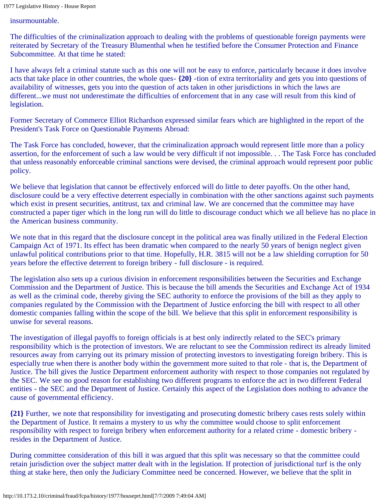insurmountable.

The difficulties of the criminalization approach to dealing with the problems of questionable foreign payments were reiterated by Secretary of the Treasury Blumenthal when he testified before the Consumer Protection and Finance Subcommittee. At that time he stated:

I have always felt a criminal statute such as this one will not be easy to enforce, particularly because it does involve acts that take place in other countries, the whole ques- **{20}** -tion of extra territoriality and gets you into questions of availability of witnesses, gets you into the question of acts taken in other jurisdictions in which the laws are different...we must not underestimate the difficulties of enforcement that in any case will result from this kind of legislation.

Former Secretary of Commerce Elliot Richardson expressed similar fears which are highlighted in the report of the President's Task Force on Questionable Payments Abroad:

The Task Force has concluded, however, that the criminalization approach would represent little more than a policy assertion, for the enforcement of such a law would be very difficult if not impossible. . . The Task Force has concluded that unless reasonably enforceable criminal sanctions were devised, the criminal approach would represent poor public policy.

We believe that legislation that cannot be effectively enforced will do little to deter payoffs. On the other hand, disclosure could be a very effective deterrent especially in combination with the other sanctions against such payments which exist in present securities, antitrust, tax and criminal law. We are concerned that the committee may have constructed a paper tiger which in the long run will do little to discourage conduct which we all believe has no place in the American business community.

We note that in this regard that the disclosure concept in the political area was finally utilized in the Federal Election Campaign Act of 1971. Its effect has been dramatic when compared to the nearly 50 years of benign neglect given unlawful political contributions prior to that time. Hopefully, H.R. 3815 will not be a law shielding corruption for 50 years before the effective deterrent to foreign bribery - full disclosure - is required.

The legislation also sets up a curious division in enforcement responsibilities between the Securities and Exchange Commission and the Department of Justice. This is because the bill amends the Securities and Exchange Act of 1934 as well as the criminal code, thereby giving the SEC authority to enforce the provisions of the bill as they apply to companies regulated by the Commission with the Department of Justice enforcing the bill with respect to all other domestic companies falling within the scope of the bill. We believe that this split in enforcement responsibility is unwise for several reasons.

The investigation of illegal payoffs to foreign officials is at best only indirectly related to the SEC's primary responsibility which is the protection of investors. We are reluctant to see the Commission redirect its already limited resources away from carrying out its primary mission of protecting investors to investigating foreign bribery. This is especially true when there is another body within the government more suited to that role - that is, the Department of Justice. The bill gives the Justice Department enforcement authority with respect to those companies not regulated by the SEC. We see no good reason for establishing two different programs to enforce the act in two different Federal entities - the SEC and the Department of Justice. Certainly this aspect of the Legislation does nothing to advance the cause of governmental efficiency.

**{21}** Further, we note that responsibility for investigating and prosecuting domestic bribery cases rests solely within the Department of Justice. It remains a mystery to us why the committee would choose to split enforcement responsibility with respect to foreign bribery when enforcement authority for a related crime - domestic bribery resides in the Department of Justice.

During committee consideration of this bill it was argued that this split was necessary so that the committee could retain jurisdiction over the subject matter dealt with in the legislation. If protection of jurisdictional turf is the only thing at stake here, then only the Judiciary Committee need be concerned. However, we believe that the split in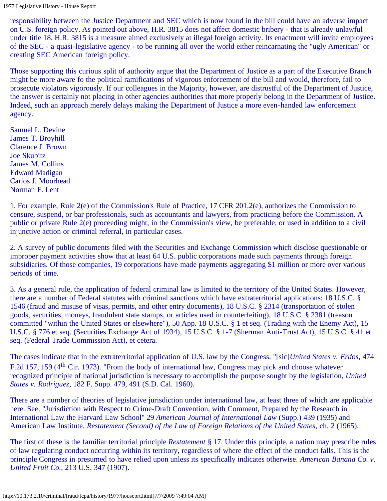responsibility between the Justice Department and SEC which is now found in the bill could have an adverse impact on U.S. foreign policy. As pointed out above, H.R. 3815 does not affect domestic bribery - that is already unlawful under title 18. H.R. 3815 is a measure aimed exclusively at illegal foreign activity. Its enactment will invite employees of the SEC - a quasi-legislative agency - to be running all over the world either reincarnating the "ugly American" or creating SEC American foreign policy.

Those supporting this curious split of authority argue that the Department of Justice as a part of the Executive Branch might be more aware fo the political ramifications of vigorous enforcement of the bill and would, therefore, fail to prosecute violators vigorously. If our colleagues in the Majority, however, are distrustful of the Department of Justice, the answer is certainly not placing in other agencies authorities that more properly belong in the Department of Justice. Indeed, such an approach merely delays making the Department of Justice a more even-handed law enforcement agency.

Samuel L. Devine James T. Broyhill Clarence J. Brown Joe Skubitz James M. Collins Edward Madigan Carlos J. Moorhead Norman F. Lent

1. For example, Rule 2(e) of the Commission's Rule of Practice, 17 CFR 201.2(e), authorizes the Commission to censure, suspend, or bar professionals, such as accountants and lawyers, from practicing before the Commission. A public or private Rule 2(e) proceeding might, in the Commission's view, be preferable, or used in addition to a civil injunctive action or criminal referral, in particular cases.

2. A survey of public documents filed with the Securities and Exchange Commission which disclose questionable or improper payment activities show that at least 64 U.S. public corporations made such payments through foreign subsidiaries. Of those companies, 19 corporations have made payments aggregating \$1 million or more over various periods of time.

3. As a general rule, the application of federal criminal law is limited to the territory of the United States. However, there are a number of Federal statutes with criminal sanctions which have extraterritorial applications: 18 U.S.C. § 1546 (fraud and misuse of visas, permits, and other entry documents), 18 U.S.C. § 2314 (transportation of stolen goods, securities, moneys, fraudulent state stamps, or articles used in counterfeiting), 18 U.S.C. § 2381 (treason committed "within the United States or elsewhere"), 50 App. 18 U.S.C. § 1 et seq. (Trading with the Enemy Act), 15 U.S.C. § 776 et seq. (Securities Exchange Act of 1934), 15 U.S.C. § 1-7 (Sherman Anti-Trust Act), 15 U.S.C. § 41 et seq. (Federal Trade Commission Act), et cetera.

The cases indicate that in the extraterritorial application of U.S. law by the Congress, "[sic]*United States v. Erdos,* 474 F.2d 157, 159 (4<sup>th</sup> Cir. 1973). "From the body of international law, Congress may pick and choose whatever recognized principle of national jurisdiction is necessary to accomplish the purpose sought by the legislation, *United States v. Rodriguez*, 182 F. Supp. 479, 491 (S.D. Cal. 1960).

There are a number of theories of legislative jurisdiction under international law, at least three of which are applicable here. See, "Jurisdiction with Respect to Crime-Draft Convention, with Comment, Prepared by the Research in International Law the Harvard Law School" 29 *American Journal of International Law* (Supp.) 439 (1935) and American Law Institute, *Restatement (Second) of the Law of Foreign Relations of the United States,* ch. 2 (1965).

The first of these is the familiar territorial principle *Restatement* § 17. Under this principle, a nation may prescribe rules of law regulating conduct occurring within its territory, regardless of where the effect of the conduct falls. This is the principle Congress in presumed to have relied upon unless its specifically indicates otherwise. *American Banana Co. v. United Fruit Co.,* 213 U.S. 347 (1907).